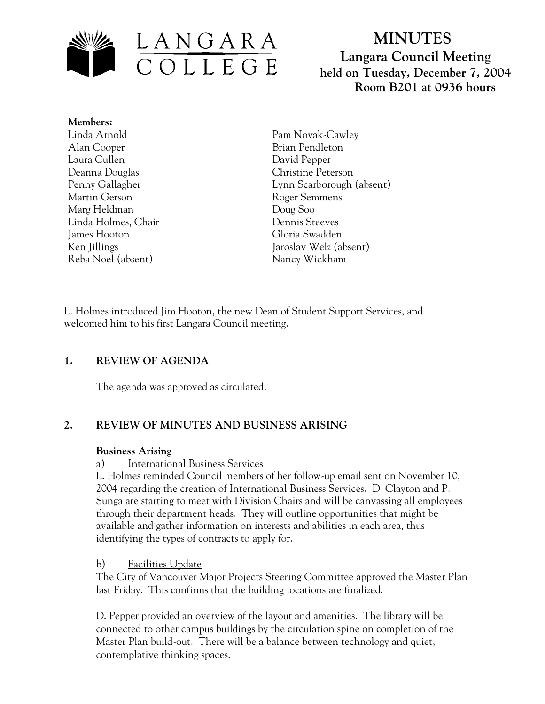

# **MINUTES Langara Council Meeting held on Tuesday, December 7, 2004 Room B201 at 0936 hours**

**Members:** Linda Arnold Alan Cooper Laura Cullen Deanna Douglas Penny Gallagher Martin Gerson Marg Heldman Linda Holmes, Chair James Hooton Ken Jillings Reba Noel (absent)

Pam Novak-Cawley Brian Pendleton David Pepper Christine Peterson Lynn Scarborough (absent) Roger Semmens Doug Soo Dennis Steeves Gloria Swadden Jaroslav Welz (absent) Nancy Wickham

L. Holmes introduced Jim Hooton, the new Dean of Student Support Services, and welcomed him to his first Langara Council meeting.

# **1. REVIEW OF AGENDA**

The agenda was approved as circulated.

# **2. REVIEW OF MINUTES AND BUSINESS ARISING**

#### **Business Arising**

# a) International Business Services

L. Holmes reminded Council members of her follow-up email sent on November 10, 2004 regarding the creation of International Business Services. D. Clayton and P. Sunga are starting to meet with Division Chairs and will be canvassing all employees through their department heads. They will outline opportunities that might be available and gather information on interests and abilities in each area, thus identifying the types of contracts to apply for.

# b) Facilities Update

The City of Vancouver Major Projects Steering Committee approved the Master Plan last Friday. This confirms that the building locations are finalized.

D. Pepper provided an overview of the layout and amenities. The library will be connected to other campus buildings by the circulation spine on completion of the Master Plan build-out. There will be a balance between technology and quiet, contemplative thinking spaces.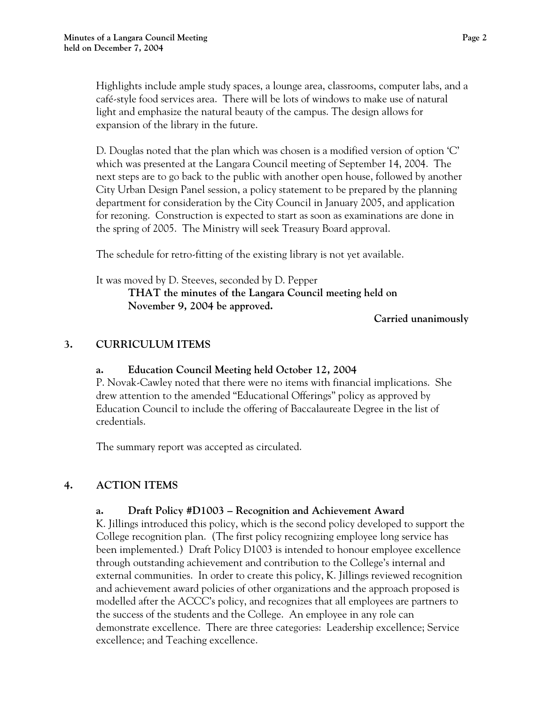Highlights include ample study spaces, a lounge area, classrooms, computer labs, and a café-style food services area. There will be lots of windows to make use of natural light and emphasize the natural beauty of the campus. The design allows for expansion of the library in the future.

D. Douglas noted that the plan which was chosen is a modified version of option 'C' which was presented at the Langara Council meeting of September 14, 2004. The next steps are to go back to the public with another open house, followed by another City Urban Design Panel session, a policy statement to be prepared by the planning department for consideration by the City Council in January 2005, and application for rezoning. Construction is expected to start as soon as examinations are done in the spring of 2005. The Ministry will seek Treasury Board approval.

The schedule for retro-fitting of the existing library is not yet available.

It was moved by D. Steeves, seconded by D. Pepper  **THAT the minutes of the Langara Council meeting held on November 9, 2004 be approved.** 

 **Carried unanimously**

# **3. CURRICULUM ITEMS**

#### **a. Education Council Meeting held October 12, 2004**

P. Novak-Cawley noted that there were no items with financial implications. She drew attention to the amended "Educational Offerings" policy as approved by Education Council to include the offering of Baccalaureate Degree in the list of credentials.

The summary report was accepted as circulated.

# **4. ACTION ITEMS**

# **a. Draft Policy #D1003 – Recognition and Achievement Award**

K. Jillings introduced this policy, which is the second policy developed to support the College recognition plan. (The first policy recognizing employee long service has been implemented.) Draft Policy D1003 is intended to honour employee excellence through outstanding achievement and contribution to the College's internal and external communities. In order to create this policy, K. Jillings reviewed recognition and achievement award policies of other organizations and the approach proposed is modelled after the ACCC's policy, and recognizes that all employees are partners to the success of the students and the College. An employee in any role can demonstrate excellence. There are three categories: Leadership excellence; Service excellence; and Teaching excellence.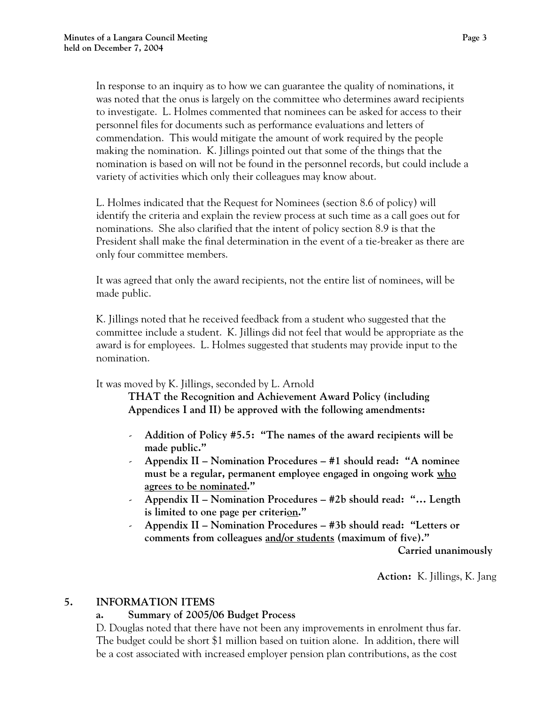In response to an inquiry as to how we can guarantee the quality of nominations, it was noted that the onus is largely on the committee who determines award recipients to investigate. L. Holmes commented that nominees can be asked for access to their personnel files for documents such as performance evaluations and letters of commendation. This would mitigate the amount of work required by the people making the nomination. K. Jillings pointed out that some of the things that the nomination is based on will not be found in the personnel records, but could include a variety of activities which only their colleagues may know about.

L. Holmes indicated that the Request for Nominees (section 8.6 of policy) will identify the criteria and explain the review process at such time as a call goes out for nominations. She also clarified that the intent of policy section 8.9 is that the President shall make the final determination in the event of a tie-breaker as there are only four committee members.

It was agreed that only the award recipients, not the entire list of nominees, will be made public.

K. Jillings noted that he received feedback from a student who suggested that the committee include a student. K. Jillings did not feel that would be appropriate as the award is for employees. L. Holmes suggested that students may provide input to the nomination.

It was moved by K. Jillings, seconded by L. Arnold

**THAT the Recognition and Achievement Award Policy (including Appendices I and II) be approved with the following amendments:** 

- **Addition of Policy #5.5: "The names of the award recipients will be made public."**
- **Appendix II Nomination Procedures #1 should read: "A nominee must be a regular, permanent employee engaged in ongoing work who agrees to be nominated."**
- **Appendix II Nomination Procedures #2b should read: "… Length is limited to one page per criterion."**
- **Appendix II Nomination Procedures #3b should read: "Letters or comments from colleagues and/or students (maximum of five)."**

 **Carried unanimously** 

**Action:** K. Jillings, K. Jang

# **5. INFORMATION ITEMS**

# **a. Summary of 2005/06 Budget Process**

D. Douglas noted that there have not been any improvements in enrolment thus far. The budget could be short \$1 million based on tuition alone. In addition, there will be a cost associated with increased employer pension plan contributions, as the cost